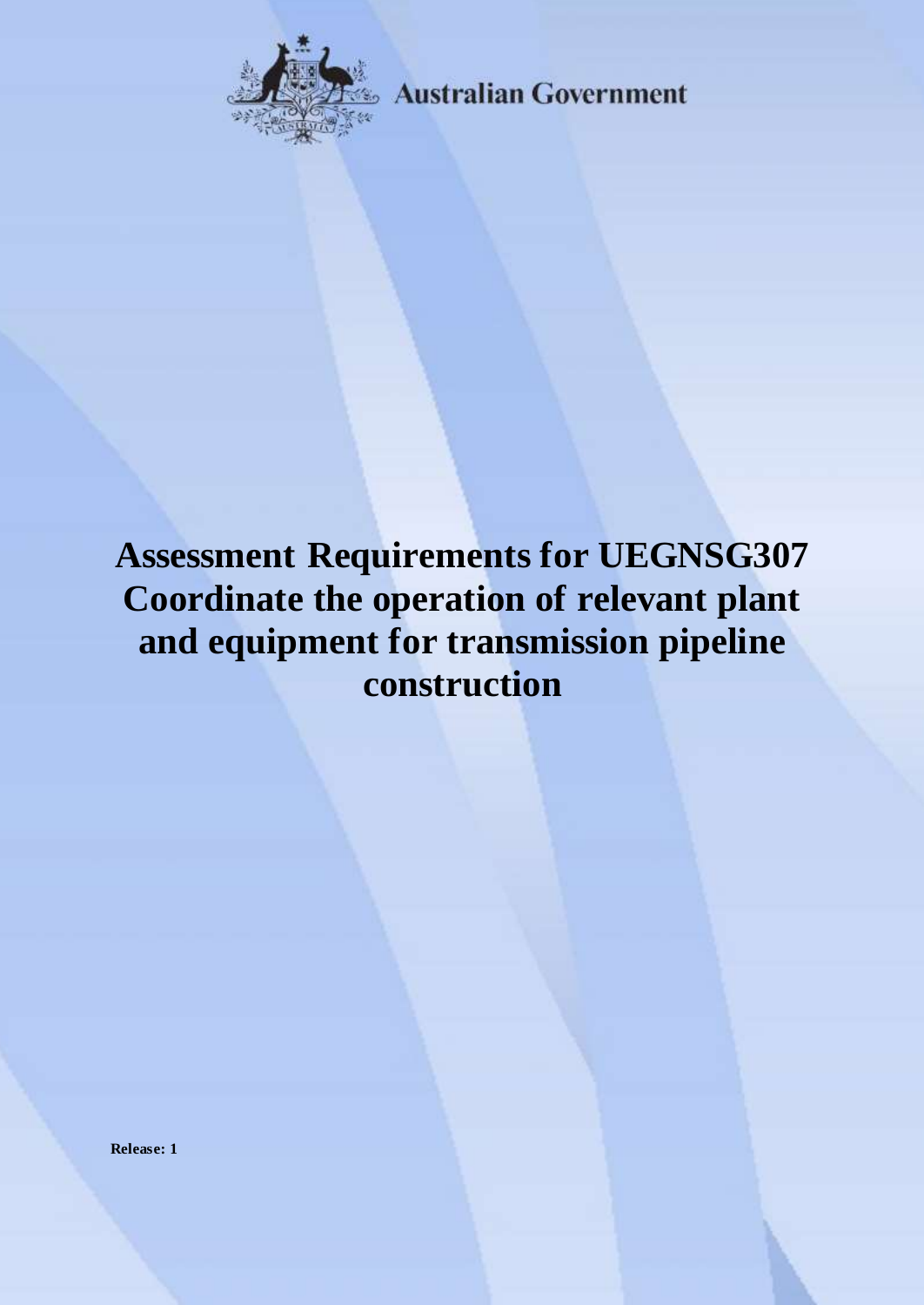

**Australian Government** 

# **Assessment Requirements for UEGNSG307 Coordinate the operation of relevant plant and equipment for transmission pipeline construction**

**Release: 1**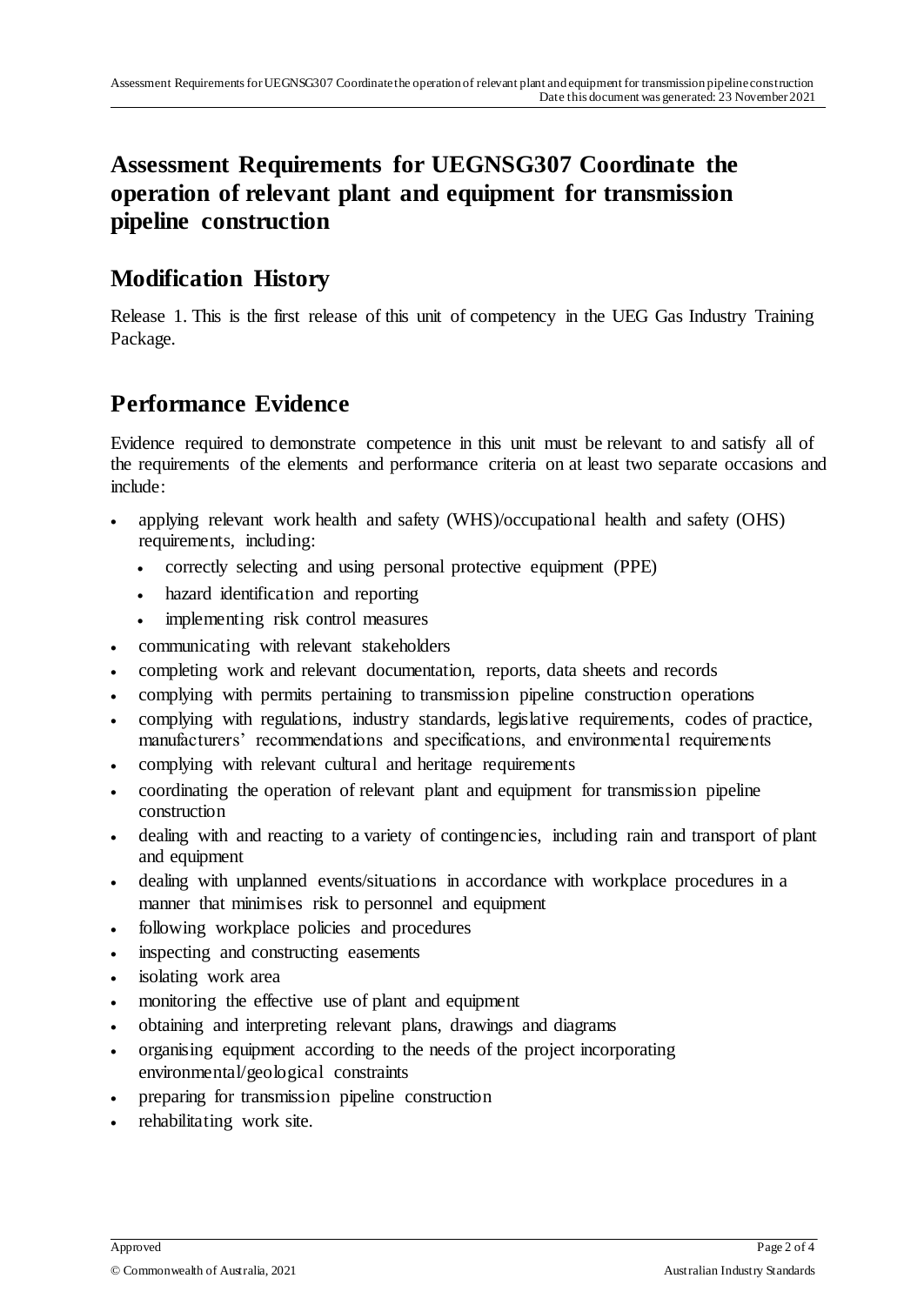## **Assessment Requirements for UEGNSG307 Coordinate the operation of relevant plant and equipment for transmission pipeline construction**

#### **Modification History**

Release 1. This is the first release of this unit of competency in the UEG Gas Industry Training Package.

### **Performance Evidence**

Evidence required to demonstrate competence in this unit must be relevant to and satisfy all of the requirements of the elements and performance criteria on at least two separate occasions and include:

- applying relevant work health and safety (WHS)/occupational health and safety (OHS) requirements, including:
	- correctly selecting and using personal protective equipment (PPE)
	- hazard identification and reporting
	- implementing risk control measures
- communicating with relevant stakeholders
- completing work and relevant documentation, reports, data sheets and records
- complying with permits pertaining to transmission pipeline construction operations
- complying with regulations, industry standards, legislative requirements, codes of practice, manufacturers' recommendations and specifications, and environmental requirements
- complying with relevant cultural and heritage requirements
- coordinating the operation of relevant plant and equipment for transmission pipeline construction
- dealing with and reacting to a variety of contingencies, including rain and transport of plant and equipment
- dealing with unplanned events/situations in accordance with workplace procedures in a manner that minimises risk to personnel and equipment
- following workplace policies and procedures
- inspecting and constructing easements
- isolating work area
- monitoring the effective use of plant and equipment
- obtaining and interpreting relevant plans, drawings and diagrams
- organising equipment according to the needs of the project incorporating environmental/geological constraints
- preparing for transmission pipeline construction
- rehabilitating work site.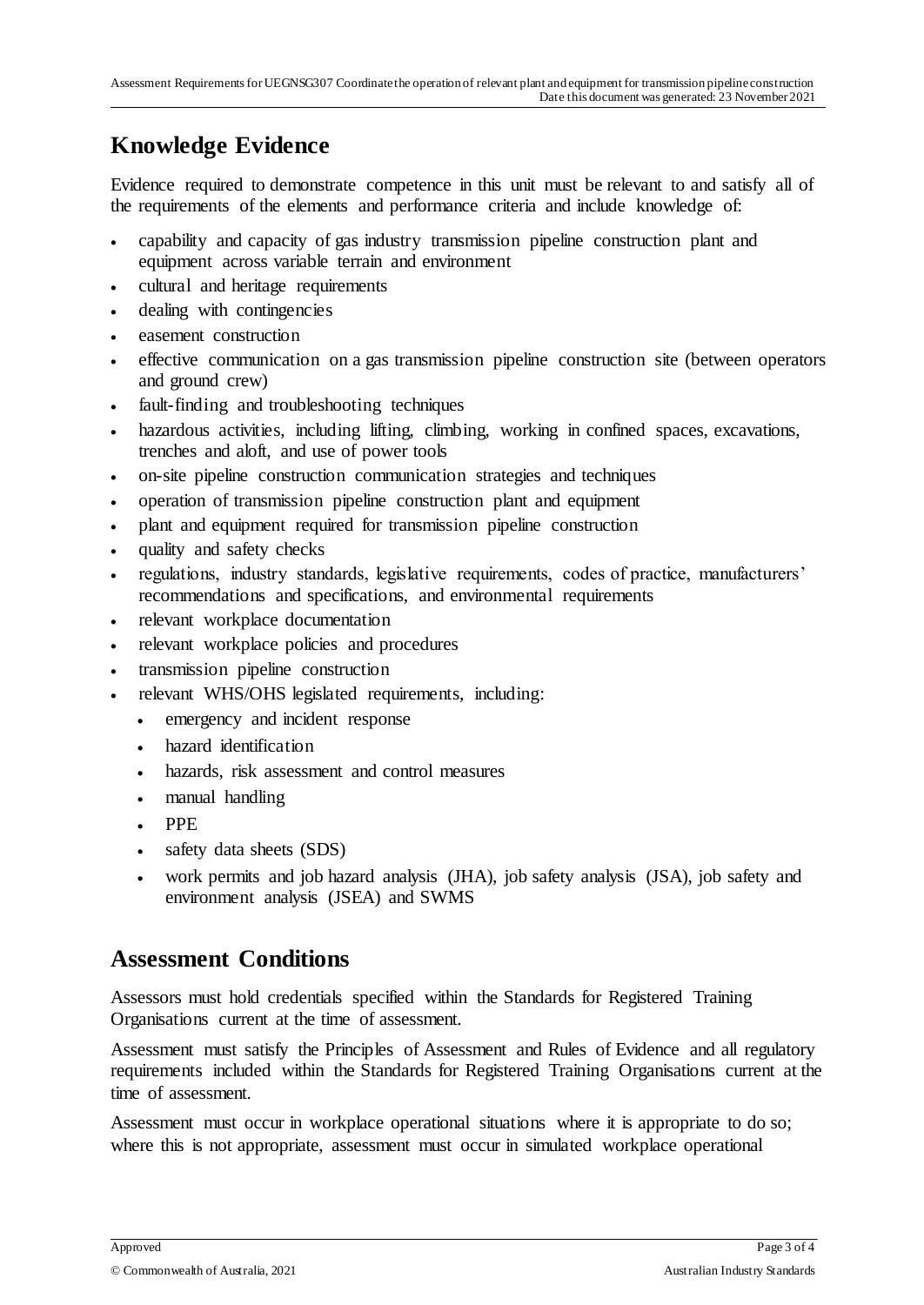# **Knowledge Evidence**

Evidence required to demonstrate competence in this unit must be relevant to and satisfy all of the requirements of the elements and performance criteria and include knowledge of:

- capability and capacity of gas industry transmission pipeline construction plant and equipment across variable terrain and environment
- cultural and heritage requirements
- dealing with contingencies
- easement construction
- effective communication on a gas transmission pipeline construction site (between operators and ground crew)
- fault-finding and troubleshooting techniques
- hazardous activities, including lifting, climbing, working in confined spaces, excavations, trenches and aloft, and use of power tools
- on-site pipeline construction communication strategies and techniques
- operation of transmission pipeline construction plant and equipment
- plant and equipment required for transmission pipeline construction
- quality and safety checks
- regulations, industry standards, legislative requirements, codes of practice, manufacturers' recommendations and specifications, and environmental requirements
- relevant workplace documentation
- relevant workplace policies and procedures
- transmission pipeline construction
- relevant WHS/OHS legislated requirements, including:
	- emergency and incident response
	- hazard identification
	- hazards, risk assessment and control measures
	- manual handling
	- PPE
	- safety data sheets (SDS)
	- work permits and job hazard analysis (JHA), job safety analysis (JSA), job safety and environment analysis (JSEA) and SWMS

#### **Assessment Conditions**

Assessors must hold credentials specified within the Standards for Registered Training Organisations current at the time of assessment.

Assessment must satisfy the Principles of Assessment and Rules of Evidence and all regulatory requirements included within the Standards for Registered Training Organisations current at the time of assessment.

Assessment must occur in workplace operational situations where it is appropriate to do so; where this is not appropriate, assessment must occur in simulated workplace operational